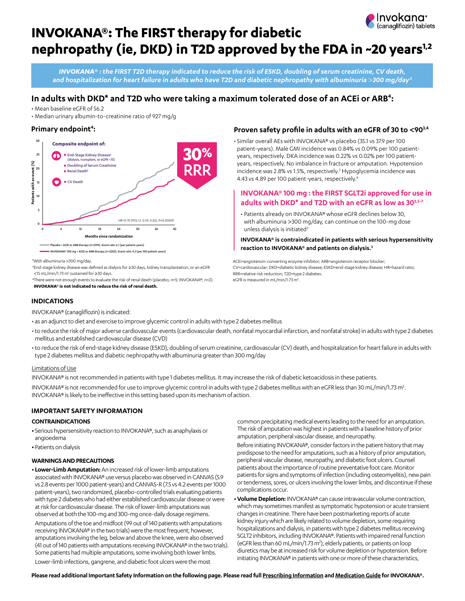

# **INVOKANA®: The FIRST therapy for diabetic**  nephropathy (ie, DKD) in T2D approved by the FDA in ~20 years<sup>1,2</sup>

*INVOKANA***®** *: the FIRST T2D therapy indicated to reduce the risk of ESKD, doubling of serum creatinine, CV death, and hospitalization for heart failure in adults who have T2D and diabetic nephropathy with albuminuria* >*300 mg/day***<sup>3</sup>**

## In adults with DKD<sup>\*</sup> and T2D who were taking a maximum tolerated dose of an ACEi or ARB<sup>4</sup>:

• Mean baseline eGFR of 56.2

• Median urinary albumin-to-creatinine ratio of 927 mg/g

## Primary endpoint<sup>4</sup>:



\*With albuminuria >300 mg/day.

 †End-stage kidney disease was defined as dialysis for ≥30 days, kidney transplantation, or an eGFR <15 mL/min/1.73 m<sup>2</sup> sustained for ≥30 days.

 ‡There were not enough events to evaluate the risk of renal death (placebo, n=5; INVOKANA®, n=2). **INVOKANA® is not indicated to reduce the risk of renal death.**

### **Proven safety profile in adults with an eGFR of 30 to <903,4**

• Similar overall AEs with INVOKANA® vs placebo (35.1 vs 37.9 per 100 patient-years). Male GMI incidence was 0.84% vs 0.09% per 100 patientyears, respectively. DKA incidence was 0.22% vs 0.02% per 100 patientyears, respectively. No imbalance in fracture or amputation. Hypotension incidence was 2.8% vs 1.5%, respectively.<sup>3</sup> Hypoglycemia incidence was 4.43 vs 4.89 per 100 patient-years, respectively.<sup>4</sup>

## **INVOKANA® 100 mg : the FIRST SGLT2i approved for use in adults with DKD\* and T2D with an eGFR as low as 303,5-7**

• Patients already on INVOKANA® whose eGFR declines below 30, with albuminuria >300 mg/day, can continue on the 100-mg dose unless dialysis is initiated<sup>3</sup>

**INVOKANA® is contraindicated in patients with serious hypersensitivity reaction to INVOKANA® and patients on dialysis.3**

ACEi=angiotensin-converting enzyme inhibitor; ARB=angiotensin receptor blocker; CV=cardiovascular; DKD=diabetic kidney disease; ESKD=end-stage kidney disease; HR=hazard ratio; RRR=relative risk reduction; T2D=type 2 diabetes. eGFR is measured in mL/min/1.73 m<sup>2</sup>

## **INDICATIONS**

INVOKANA® (canagliflozin) is indicated:

- as an adjunct to diet and exercise to improve glycemic control in adults with type 2 diabetes mellitus
- to reduce the risk of major adverse cardiovascular events (cardiovascular death, nonfatal myocardial infarction, and nonfatal stroke) in adults with type 2 diabetes mellitus and established cardiovascular disease (CVD)
- to reduce the risk of end-stage kidney disease (ESKD), doubling of serum creatinine, cardiovascular (CV) death, and hospitalization for heart failure in adults with type 2 diabetes mellitus and diabetic nephropathy with albuminuria greater than 300 mg/day

### Limitations of Use

INVOKANA® is not recommended in patients with type 1 diabetes mellitus. It may increase the risk of diabetic ketoacidosis in these patients.

INVOKANA® is not recommended for use to improve glycemic control in adults with type 2 diabetes mellitus with an eGFR less than 30 mL/min/1.73 m<sup>2</sup>. INVOKANA® is likely to be ineffective in this setting based upon its mechanism of action.

### **IMPORTANT SAFETY INFORMATION**

### **CONTRAINDICATIONS**

- **•** Serious hypersensitivity reaction to INVOKANA®, such as anaphylaxis or angioedema
- **•** Patients on dialysis

### **WARNINGS AND PRECAUTIONS**

**• Lower-Limb Amputation:** An increased risk of lower-limb amputations associated with INVOKANA® use versus placebo was observed in CANVAS (5.9 vs 2.8 events per 1000 patient-years) and CANVAS-R (7.5 vs 4.2 events per 1000 patient-years), two randomized, placebo-controlled trials evaluating patients with type 2 diabetes who had either established cardiovascular disease or were at risk for cardiovascular disease. The risk of lower-limb amputations was observed at both the 100-mg and 300-mg once-daily dosage regimens.

Amputations of the toe and midfoot (99 out of 140 patients with amputations receiving INVOKANA® in the two trials) were the most frequent; however, amputations involving the leg, below and above the knee, were also observed (41 out of 140 patients with amputations receiving INVOKANA® in the two trials). Some patients had multiple amputations, some involving both lower limbs. Lower-limb infections, gangrene, and diabetic foot ulcers were the most

common precipitating medical events leading to the need for an amputation. The risk of amputation was highest in patients with a baseline history of prior amputation, peripheral vascular disease, and neuropathy.

Before initiating INVOKANA®, consider factors in the patient history that may predispose to the need for amputations, such as a history of prior amputation, peripheral vascular disease, neuropathy, and diabetic foot ulcers. Counsel patients about the importance of routine preventative foot care. Monitor patients for signs and symptoms of infection (including osteomyelitis), new pain or tenderness, sores, or ulcers involving the lower limbs, and discontinue if these complications occur.

**• Volume Depletion:** INVOKANA® can cause intravascular volume contraction, which may sometimes manifest as symptomatic hypotension or acute transient changes in creatinine. There have been postmarketing reports of acute kidney injury which are likely related to volume depletion, some requiring hospitalizations and dialysis, in patients with type 2 diabetes mellitus receiving SGLT2 inhibitors, including INVOKANA®. Patients with impaired renal function (eGFR less than 60 mL/min/1.73 m2 ), elderly patients, or patients on loop diuretics may be at increased risk for volume depletion or hypotension. Before initiating INVOKANA® in patients with one or more of these characteristics,

**Please read additional Important Safety Information on the following page. Please read full [Prescribing Information](http://www.janssenlabels.com/package-insert/product-monograph/prescribing-information/INVOKANA-pi.pdf) and [Medication Guide](http://www.janssenlabels.com/package-insert/product-patient-information/INVOKANA-medication-guide.pdf) for INVOKANA®.**